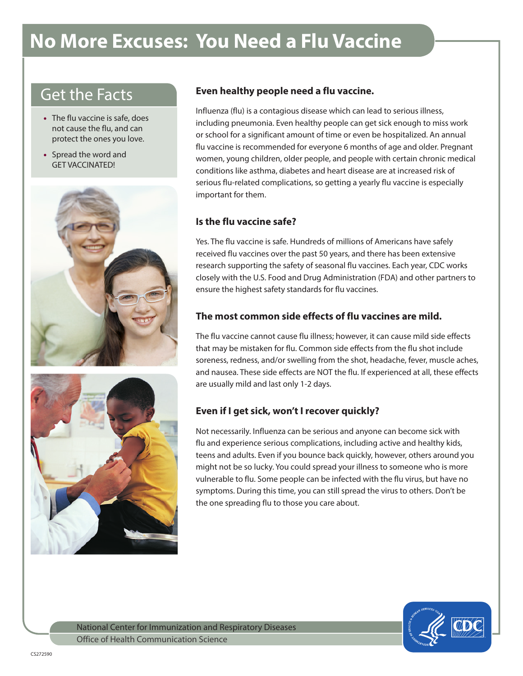# **No More Excuses: You Need a Flu Vaccine**

## Get the Facts

- The flu vaccine is safe, does not cause the flu, and can protect the ones you love.
- Spread the word and GET VACCINATED!





#### **Even healthy people need a flu vaccine.**

Influenza (flu) is a contagious disease which can lead to serious illness, including pneumonia. Even healthy people can get sick enough to miss work or school for a significant amount of time or even be hospitalized. An annual flu vaccine is recommended for everyone 6 months of age and older. Pregnant women, young children, older people, and people with certain chronic medical conditions like asthma, diabetes and heart disease are at increased risk of serious flu-related complications, so getting a yearly flu vaccine is especially important for them.

#### **Is the flu vaccine safe?**

Yes. The flu vaccine is safe. Hundreds of millions of Americans have safely received flu vaccines over the past 50 years, and there has been extensive research supporting the safety of seasonal flu vaccines. Each year, CDC works closely with the U.S. Food and Drug Administration (FDA) and other partners to ensure the highest safety standards for flu vaccines.

#### **The most common side effects of flu vaccines are mild.**

The flu vaccine cannot cause flu illness; however, it can cause mild side effects that may be mistaken for flu. Common side effects from the flu shot include soreness, redness, and/or swelling from the shot, headache, fever, muscle aches, and nausea. These side effects are NOT the flu. If experienced at all, these effects are usually mild and last only 1-2 days.

### **Even if I get sick, won't I recover quickly?**

Not necessarily. Influenza can be serious and anyone can become sick with flu and experience serious complications, including active and healthy kids, teens and adults. Even if you bounce back quickly, however, others around you might not be so lucky. You could spread your illness to someone who is more vulnerable to flu. Some people can be infected with the flu virus, but have no symptoms. During this time, you can still spread the virus to others. Don't be the one spreading flu to those you care about.



National Center for Immunization and Respiratory Diseases Office of Health Communication Science